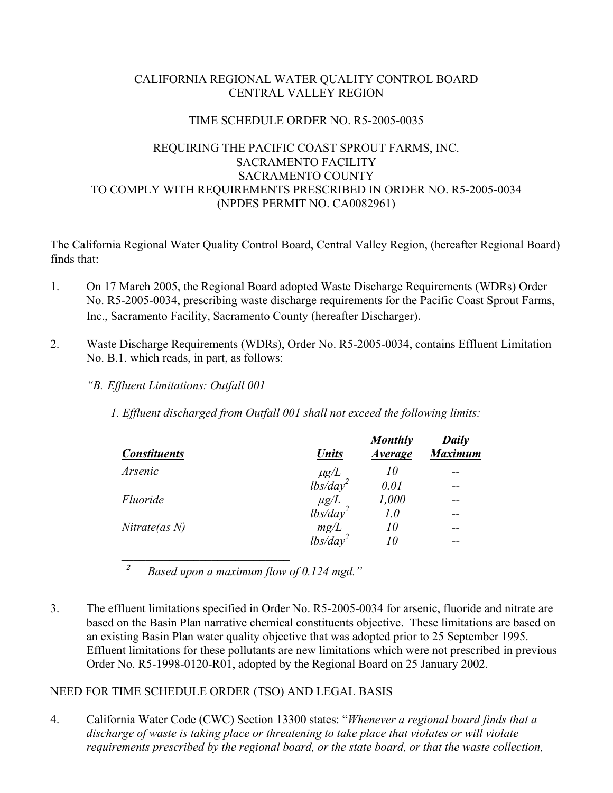# CALIFORNIA REGIONAL WATER QUALITY CONTROL BOARD CENTRAL VALLEY REGION

#### TIME SCHEDULE ORDER NO. R5-2005-0035

# REQUIRING THE PACIFIC COAST SPROUT FARMS, INC. SACRAMENTO FACILITY SACRAMENTO COUNTY TO COMPLY WITH REQUIREMENTS PRESCRIBED IN ORDER NO. R5-2005-0034 (NPDES PERMIT NO. CA0082961)

The California Regional Water Quality Control Board, Central Valley Region, (hereafter Regional Board) finds that:

- 1. On 17 March 2005, the Regional Board adopted Waste Discharge Requirements (WDRs) Order No. R5-2005-0034, prescribing waste discharge requirements for the Pacific Coast Sprout Farms, Inc., Sacramento Facility, Sacramento County (hereafter Discharger).
- 2. Waste Discharge Requirements (WDRs), Order No. R5-2005-0034, contains Effluent Limitation No. B.1. which reads, in part, as follows:
	- *"B. Effluent Limitations: Outfall 001*

*1. Effluent discharged from Outfall 001 shall not exceed the following limits:* 

| <b>Constituents</b> | <b>Units</b>                      | <b>Monthly</b><br><b>Average</b> | Daily<br><b>Maximum</b> |
|---------------------|-----------------------------------|----------------------------------|-------------------------|
| Arsenic             |                                   | 10                               | --                      |
|                     | $\mu g/L$<br>lbs/day <sup>2</sup> | 0.01                             | --                      |
| Fluoride            | $\mu g/L$<br>lbs/day <sup>2</sup> | 1,000                            |                         |
|                     |                                   | 1.0                              | --                      |
| Nitrate(as N)       | mg/L                              | 10                               | --                      |
|                     | $lbs\bar{d}ay^2$                  | 10                               | --                      |
|                     |                                   |                                  |                         |

*<sup>2</sup>Based upon a maximum flow of 0.124 mgd."* 

3. The effluent limitations specified in Order No. R5-2005-0034 for arsenic, fluoride and nitrate are based on the Basin Plan narrative chemical constituents objective. These limitations are based on an existing Basin Plan water quality objective that was adopted prior to 25 September 1995. Effluent limitations for these pollutants are new limitations which were not prescribed in previous Order No. R5-1998-0120-R01, adopted by the Regional Board on 25 January 2002.

NEED FOR TIME SCHEDULE ORDER (TSO) AND LEGAL BASIS

4. California Water Code (CWC) Section 13300 states: "*Whenever a regional board finds that a discharge of waste is taking place or threatening to take place that violates or will violate requirements prescribed by the regional board, or the state board, or that the waste collection,*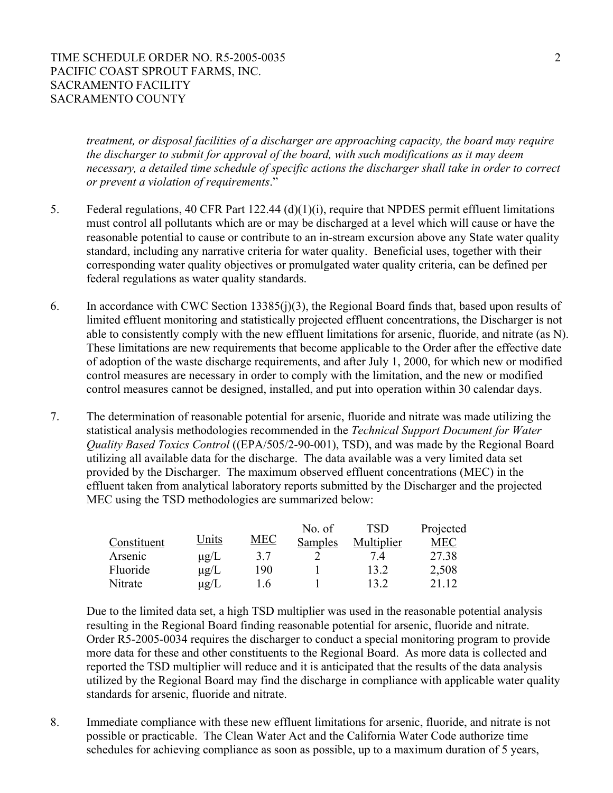#### TIME SCHEDULE ORDER NO. R5-2005-0035 2 PACIFIC COAST SPROUT FARMS, INC. SACRAMENTO FACILITY SACRAMENTO COUNTY

*treatment, or disposal facilities of a discharger are approaching capacity, the board may require the discharger to submit for approval of the board, with such modifications as it may deem necessary, a detailed time schedule of specific actions the discharger shall take in order to correct or prevent a violation of requirements*."

- 5. Federal regulations, 40 CFR Part 122.44 (d)(1)(i), require that NPDES permit effluent limitations must control all pollutants which are or may be discharged at a level which will cause or have the reasonable potential to cause or contribute to an in-stream excursion above any State water quality standard, including any narrative criteria for water quality. Beneficial uses, together with their corresponding water quality objectives or promulgated water quality criteria, can be defined per federal regulations as water quality standards.
- 6. In accordance with CWC Section 13385(j)(3), the Regional Board finds that, based upon results of limited effluent monitoring and statistically projected effluent concentrations, the Discharger is not able to consistently comply with the new effluent limitations for arsenic, fluoride, and nitrate (as N). These limitations are new requirements that become applicable to the Order after the effective date of adoption of the waste discharge requirements, and after July 1, 2000, for which new or modified control measures are necessary in order to comply with the limitation, and the new or modified control measures cannot be designed, installed, and put into operation within 30 calendar days.
- 7. The determination of reasonable potential for arsenic, fluoride and nitrate was made utilizing the statistical analysis methodologies recommended in the *Technical Support Document for Water Quality Based Toxics Control* ((EPA/505/2-90-001), TSD), and was made by the Regional Board utilizing all available data for the discharge. The data available was a very limited data set provided by the Discharger. The maximum observed effluent concentrations (MEC) in the effluent taken from analytical laboratory reports submitted by the Discharger and the projected MEC using the TSD methodologies are summarized below:

|             |           |     | No. of  | <b>TSD</b> | Projected |
|-------------|-----------|-----|---------|------------|-----------|
| Constituent | Units     | MEC | Samples | Multiplier | MEC       |
| Arsenic     | $\mu$ g/L | 37  |         | 74         | 27.38     |
| Fluoride    | $\mu$ g/L | 190 |         | 13 2       | 2,508     |
| Nitrate     | $\mu$ g/L | L6  |         | 13.2       | 21 12     |

Due to the limited data set, a high TSD multiplier was used in the reasonable potential analysis resulting in the Regional Board finding reasonable potential for arsenic, fluoride and nitrate. Order R5-2005-0034 requires the discharger to conduct a special monitoring program to provide more data for these and other constituents to the Regional Board. As more data is collected and reported the TSD multiplier will reduce and it is anticipated that the results of the data analysis utilized by the Regional Board may find the discharge in compliance with applicable water quality standards for arsenic, fluoride and nitrate.

8. Immediate compliance with these new effluent limitations for arsenic, fluoride, and nitrate is not possible or practicable. The Clean Water Act and the California Water Code authorize time schedules for achieving compliance as soon as possible, up to a maximum duration of 5 years,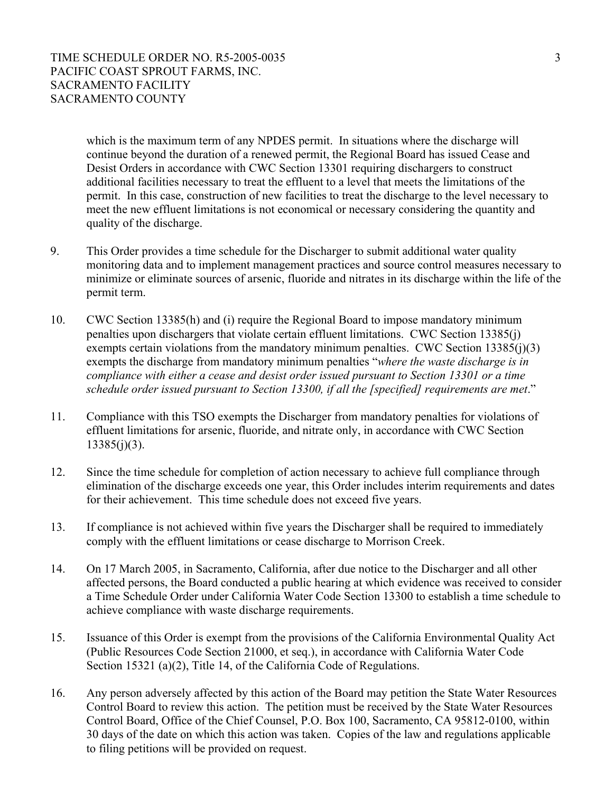TIME SCHEDULE ORDER NO. R5-2005-0035 3 PACIFIC COAST SPROUT FARMS, INC. SACRAMENTO FACILITY SACRAMENTO COUNTY

which is the maximum term of any NPDES permit. In situations where the discharge will continue beyond the duration of a renewed permit, the Regional Board has issued Cease and Desist Orders in accordance with CWC Section 13301 requiring dischargers to construct additional facilities necessary to treat the effluent to a level that meets the limitations of the permit. In this case, construction of new facilities to treat the discharge to the level necessary to meet the new effluent limitations is not economical or necessary considering the quantity and quality of the discharge.

- 9. This Order provides a time schedule for the Discharger to submit additional water quality monitoring data and to implement management practices and source control measures necessary to minimize or eliminate sources of arsenic, fluoride and nitrates in its discharge within the life of the permit term.
- 10. CWC Section 13385(h) and (i) require the Regional Board to impose mandatory minimum penalties upon dischargers that violate certain effluent limitations. CWC Section 13385(j) exempts certain violations from the mandatory minimum penalties. CWC Section 13385(j)(3) exempts the discharge from mandatory minimum penalties "*where the waste discharge is in compliance with either a cease and desist order issued pursuant to Section 13301 or a time schedule order issued pursuant to Section 13300, if all the [specified] requirements are met*."
- 11. Compliance with this TSO exempts the Discharger from mandatory penalties for violations of effluent limitations for arsenic, fluoride, and nitrate only, in accordance with CWC Section  $13385(j)(3)$ .
- 12. Since the time schedule for completion of action necessary to achieve full compliance through elimination of the discharge exceeds one year, this Order includes interim requirements and dates for their achievement. This time schedule does not exceed five years.
- 13. If compliance is not achieved within five years the Discharger shall be required to immediately comply with the effluent limitations or cease discharge to Morrison Creek.
- 14. On 17 March 2005, in Sacramento, California, after due notice to the Discharger and all other affected persons, the Board conducted a public hearing at which evidence was received to consider a Time Schedule Order under California Water Code Section 13300 to establish a time schedule to achieve compliance with waste discharge requirements.
- 15. Issuance of this Order is exempt from the provisions of the California Environmental Quality Act (Public Resources Code Section 21000, et seq.), in accordance with California Water Code Section 15321 (a)(2), Title 14, of the California Code of Regulations.
- 16. Any person adversely affected by this action of the Board may petition the State Water Resources Control Board to review this action. The petition must be received by the State Water Resources Control Board, Office of the Chief Counsel, P.O. Box 100, Sacramento, CA 95812-0100, within 30 days of the date on which this action was taken. Copies of the law and regulations applicable to filing petitions will be provided on request.